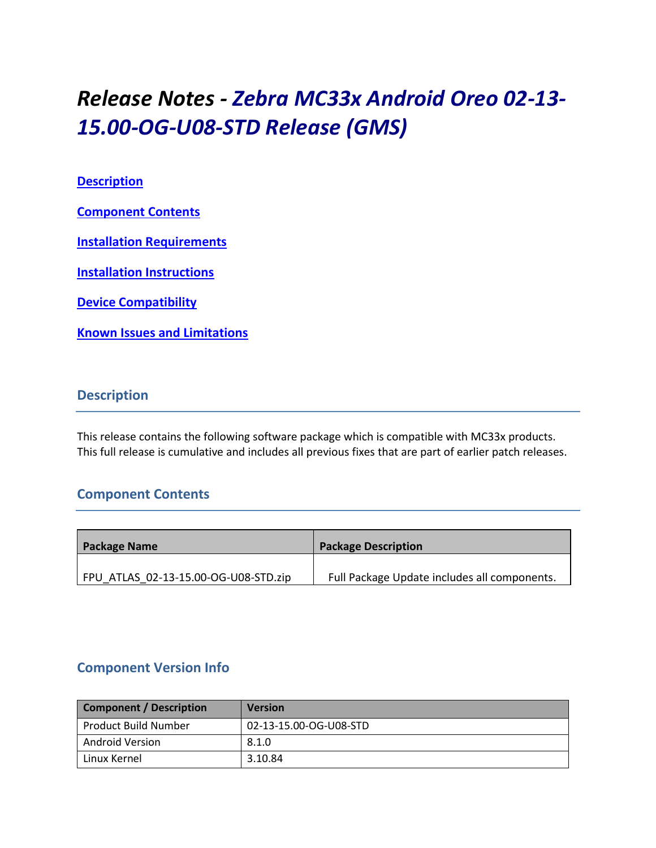# *Release Notes - Zebra MC33x Android Oreo 02-13- 15.00-OG-U08-STD Release (GMS)*

## **[Description](#page-0-0)**

**[Component Contents](#page-0-1)**

**[Installation Requirements](#page-2-0)**

**[Installation Instructions](#page-4-0)**

**[Device Compatibility](#page-6-0)**

**Known [Issues and Limitations](#page-8-0)**

# <span id="page-0-0"></span>**Description**

This release contains the following software package which is compatible with MC33x products. This full release is cumulative and includes all previous fixes that are part of earlier patch releases.

# <span id="page-0-1"></span>**Component Contents**

| <b>Package Name</b>                  | <b>Package Description</b>                   |
|--------------------------------------|----------------------------------------------|
|                                      |                                              |
| FPU ATLAS 02-13-15.00-OG-U08-STD.zip | Full Package Update includes all components. |

# **Component Version Info**

| <b>Component / Description</b> | <b>Version</b>         |
|--------------------------------|------------------------|
| Product Build Number           | 02-13-15.00-OG-U08-STD |
| Android Version                | 8.1.0                  |
| Linux Kernel                   | 3.10.84                |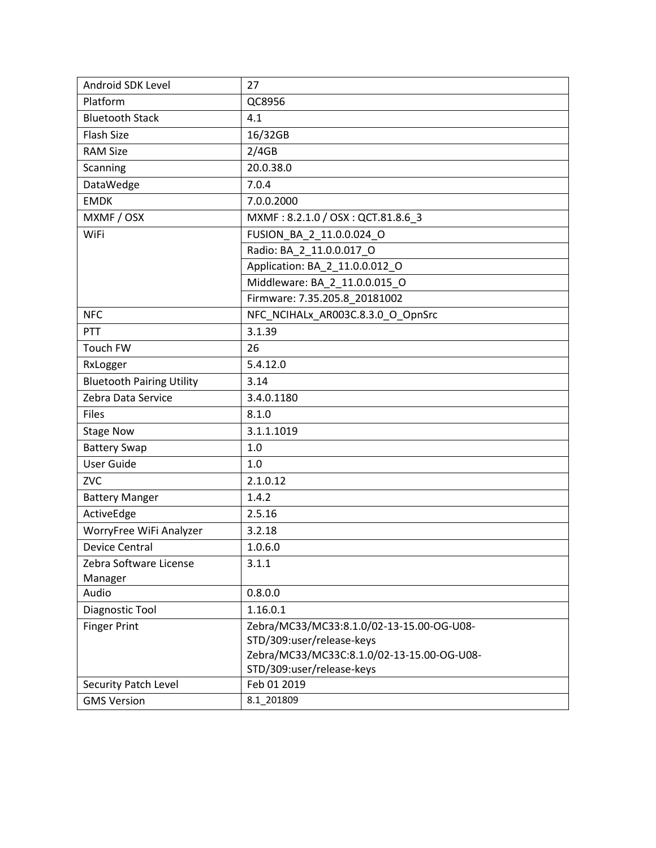| Android SDK Level                | 27                                                                      |  |  |
|----------------------------------|-------------------------------------------------------------------------|--|--|
| Platform                         | QC8956                                                                  |  |  |
| <b>Bluetooth Stack</b>           | 4.1                                                                     |  |  |
| <b>Flash Size</b>                | 16/32GB                                                                 |  |  |
| <b>RAM Size</b>                  | 2/4GB                                                                   |  |  |
| Scanning                         | 20.0.38.0                                                               |  |  |
| DataWedge                        | 7.0.4                                                                   |  |  |
| <b>EMDK</b>                      | 7.0.0.2000                                                              |  |  |
| MXMF / OSX                       | MXMF: 8.2.1.0 / OSX: QCT.81.8.6_3                                       |  |  |
| <b>WiFi</b>                      | FUSION BA 2 11.0.0.024 O                                                |  |  |
|                                  | Radio: BA_2_11.0.0.017_O                                                |  |  |
|                                  | Application: BA_2_11.0.0.012_O                                          |  |  |
|                                  | Middleware: BA 2 11.0.0.015 O                                           |  |  |
|                                  | Firmware: 7.35.205.8_20181002                                           |  |  |
| <b>NFC</b>                       | NFC NCIHALx_AR003C.8.3.0_O_OpnSrc                                       |  |  |
| PTT                              | 3.1.39                                                                  |  |  |
| Touch FW                         | 26                                                                      |  |  |
| RxLogger                         | 5.4.12.0                                                                |  |  |
| <b>Bluetooth Pairing Utility</b> | 3.14                                                                    |  |  |
| Zebra Data Service               | 3.4.0.1180                                                              |  |  |
| <b>Files</b>                     | 8.1.0                                                                   |  |  |
| <b>Stage Now</b>                 | 3.1.1.1019                                                              |  |  |
| <b>Battery Swap</b>              | 1.0                                                                     |  |  |
| <b>User Guide</b>                | 1.0                                                                     |  |  |
| <b>ZVC</b>                       | 2.1.0.12                                                                |  |  |
| <b>Battery Manger</b>            | 1.4.2                                                                   |  |  |
| ActiveEdge                       | 2.5.16                                                                  |  |  |
| WorryFree WiFi Analyzer          | 3.2.18                                                                  |  |  |
| <b>Device Central</b>            | 1.0.6.0                                                                 |  |  |
| Zebra Software License           | 3.1.1                                                                   |  |  |
| Manager                          |                                                                         |  |  |
| Audio                            | 0.8.0.0                                                                 |  |  |
| Diagnostic Tool                  | 1.16.0.1                                                                |  |  |
| <b>Finger Print</b>              | Zebra/MC33/MC33:8.1.0/02-13-15.00-OG-U08-                               |  |  |
|                                  | STD/309:user/release-keys                                               |  |  |
|                                  | Zebra/MC33/MC33C:8.1.0/02-13-15.00-OG-U08-<br>STD/309:user/release-keys |  |  |
| Security Patch Level             | Feb 01 2019                                                             |  |  |
| <b>GMS Version</b>               | 8.1_201809                                                              |  |  |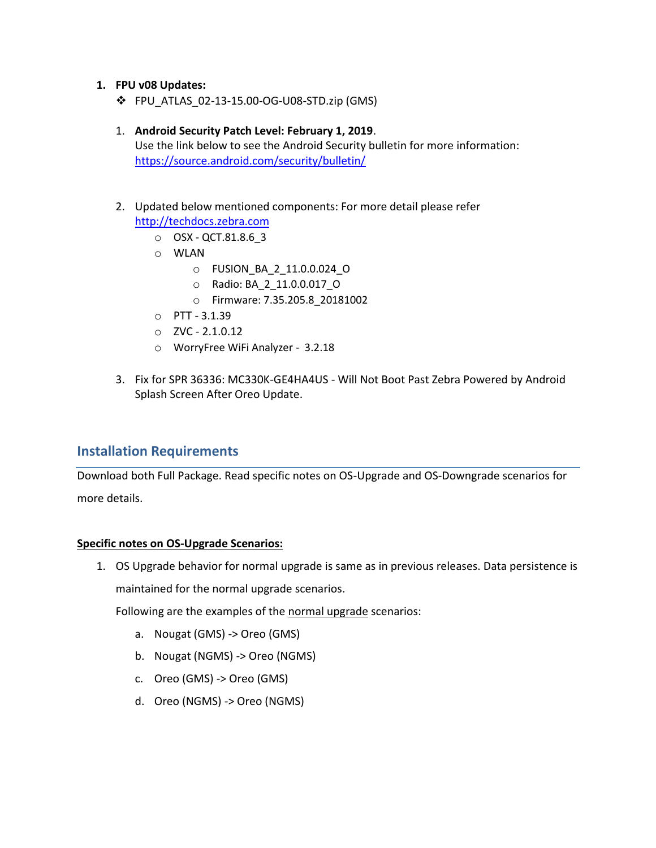## **1. FPU v08 Updates:**

❖ FPU\_ATLAS\_02-13-15.00-OG-U08-STD.zip (GMS)

#### 1. **Android Security Patch Level: February 1, 2019**.

Use the link below to see the Android Security bulletin for more information: <https://source.android.com/security/bulletin/>

- 2. Updated below mentioned components: For more detail please refer [http://techdocs.zebra.com](http://techdocs.zebra.com/)
	- o OSX QCT.81.8.6\_3
	- o WLAN
		- o FUSION\_BA\_2\_11.0.0.024\_O
		- o Radio: BA\_2\_11.0.0.017\_O
		- o Firmware: 7.35.205.8\_20181002
	- o PTT 3.1.39
	- $O$  ZVC 2.1.0.12
	- o WorryFree WiFi Analyzer 3.2.18
- 3. Fix for SPR 36336: MC330K-GE4HA4US Will Not Boot Past Zebra Powered by Android Splash Screen After Oreo Update.

## <span id="page-2-0"></span>**Installation Requirements**

Download both Full Package. Read specific notes on OS-Upgrade and OS-Downgrade scenarios for more details.

#### **Specific notes on OS-Upgrade Scenarios:**

1. OS Upgrade behavior for normal upgrade is same as in previous releases. Data persistence is maintained for the normal upgrade scenarios.

Following are the examples of the normal upgrade scenarios:

- a. Nougat (GMS) -> Oreo (GMS)
- b. Nougat (NGMS) -> Oreo (NGMS)
- c. Oreo (GMS) -> Oreo (GMS)
- d. Oreo (NGMS) -> Oreo (NGMS)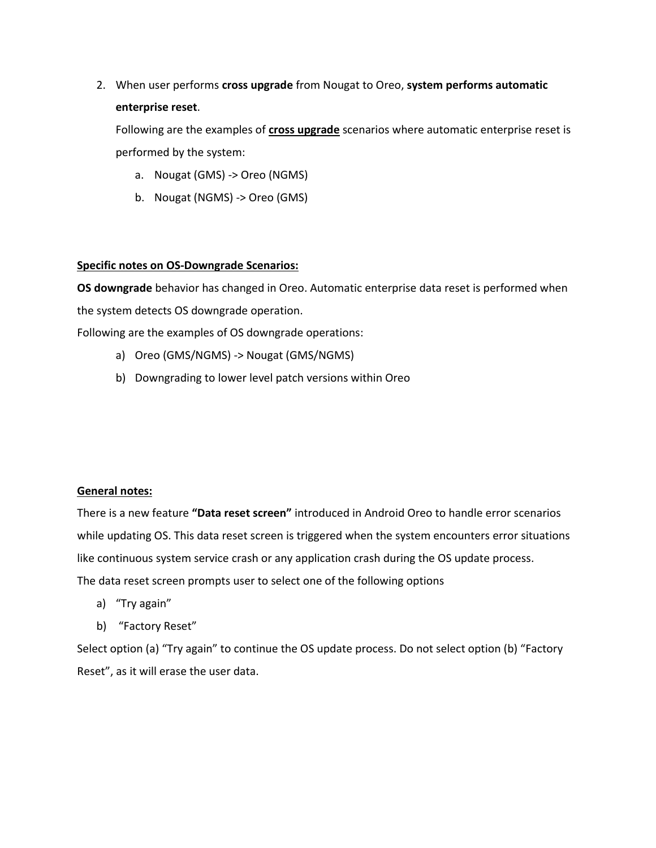2. When user performs **cross upgrade** from Nougat to Oreo, **system performs automatic enterprise reset**.

Following are the examples of **cross upgrade** scenarios where automatic enterprise reset is performed by the system:

- a. Nougat (GMS) -> Oreo (NGMS)
- b. Nougat (NGMS) -> Oreo (GMS)

## **Specific notes on OS-Downgrade Scenarios:**

**OS downgrade** behavior has changed in Oreo. Automatic enterprise data reset is performed when the system detects OS downgrade operation.

Following are the examples of OS downgrade operations:

- a) Oreo (GMS/NGMS) -> Nougat (GMS/NGMS)
- b) Downgrading to lower level patch versions within Oreo

#### **General notes:**

There is a new feature **"Data reset screen"** introduced in Android Oreo to handle error scenarios while updating OS. This data reset screen is triggered when the system encounters error situations like continuous system service crash or any application crash during the OS update process. The data reset screen prompts user to select one of the following options

- a) "Try again"
- b) "Factory Reset"

Select option (a) "Try again" to continue the OS update process. Do not select option (b) "Factory Reset", as it will erase the user data.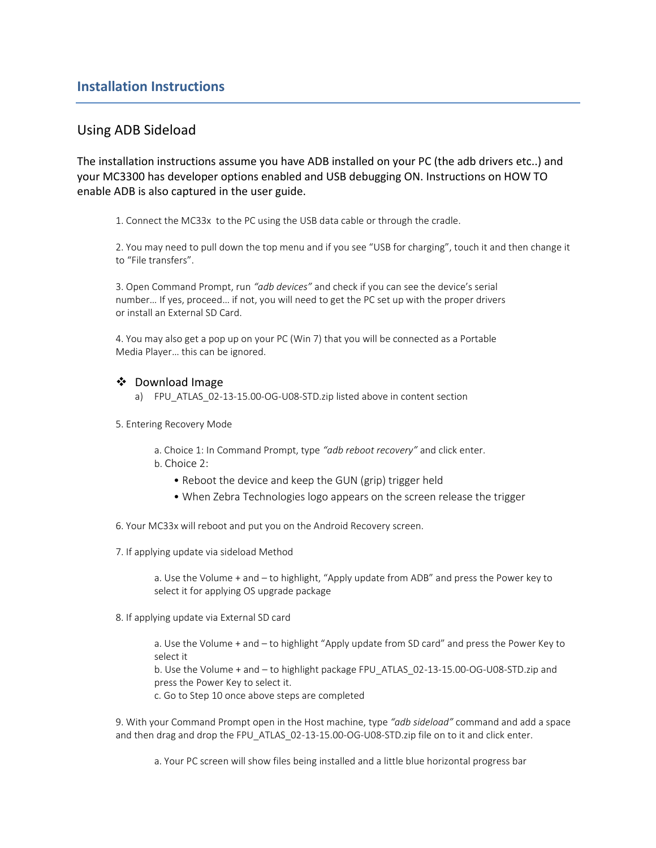## <span id="page-4-0"></span>Using ADB Sideload

The installation instructions assume you have ADB installed on your PC (the adb drivers etc..) and your MC3300 has developer options enabled and USB debugging ON. Instructions on HOW TO enable ADB is also captured in the user guide.

1. Connect the MC33x to the PC using the USB data cable or through the cradle.

2. You may need to pull down the top menu and if you see "USB for charging", touch it and then change it to "File transfers".

3. Open Command Prompt, run *"adb devices"* and check if you can see the device's serial number… If yes, proceed… if not, you will need to get the PC set up with the proper drivers or install an External SD Card.

4. You may also get a pop up on your PC (Win 7) that you will be connected as a Portable Media Player… this can be ignored.

#### ❖ Download Image

- a) FPU\_ATLAS\_02-13-15.00-OG-U08-STD.zip listed above in content section
- 5. Entering Recovery Mode

a. Choice 1: In Command Prompt, type *"adb reboot recovery"* and click enter. b. Choice 2:

- Reboot the device and keep the GUN (grip) trigger held
- When Zebra Technologies logo appears on the screen release the trigger
- 6. Your MC33x will reboot and put you on the Android Recovery screen.
- 7. If applying update via sideload Method

a. Use the Volume + and – to highlight, "Apply update from ADB" and press the Power key to select it for applying OS upgrade package

8. If applying update via External SD card

a. Use the Volume + and – to highlight "Apply update from SD card" and press the Power Key to select it

b. Use the Volume + and – to highlight package FPU\_ATLAS\_02-13-15.00-OG-U08-STD.zip and press the Power Key to select it.

c. Go to Step 10 once above steps are completed

9. With your Command Prompt open in the Host machine, type *"adb sideload"* command and add a space and then drag and drop the FPU\_ATLAS\_02-13-15.00-OG-U08-STD.zip file on to it and click enter.

a. Your PC screen will show files being installed and a little blue horizontal progress bar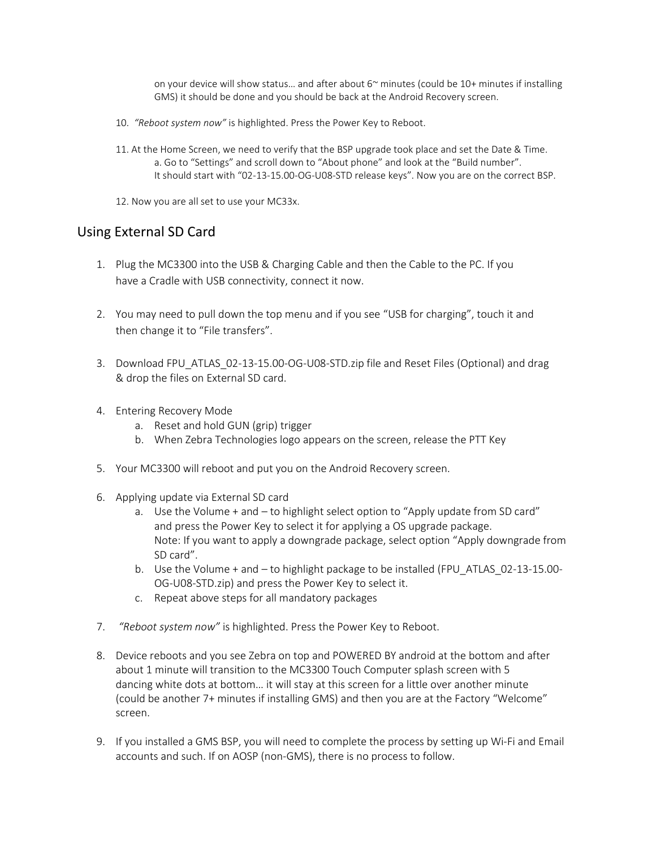on your device will show status... and after about  $6<sup>\sim</sup>$  minutes (could be 10+ minutes if installing GMS) it should be done and you should be back at the Android Recovery screen.

- 10. *"Reboot system now"* is highlighted. Press the Power Key to Reboot.
- 11. At the Home Screen, we need to verify that the BSP upgrade took place and set the Date & Time. a. Go to "Settings" and scroll down to "About phone" and look at the "Build number". It should start with "02-13-15.00-OG-U08-STD release keys". Now you are on the correct BSP.
- 12. Now you are all set to use your MC33x.

## Using External SD Card

- 1. Plug the MC3300 into the USB & Charging Cable and then the Cable to the PC. If you have a Cradle with USB connectivity, connect it now.
- 2. You may need to pull down the top menu and if you see "USB for charging", touch it and then change it to "File transfers".
- 3. Download FPU\_ATLAS\_02-13-15.00-OG-U08-STD.zip file and Reset Files (Optional) and drag & drop the files on External SD card.
- 4. Entering Recovery Mode
	- a. Reset and hold GUN (grip) trigger
	- b. When Zebra Technologies logo appears on the screen, release the PTT Key
- 5. Your MC3300 will reboot and put you on the Android Recovery screen.
- 6. Applying update via External SD card
	- a. Use the Volume + and to highlight select option to "Apply update from SD card" and press the Power Key to select it for applying a OS upgrade package. Note: If you want to apply a downgrade package, select option "Apply downgrade from SD card".
	- b. Use the Volume + and to highlight package to be installed (FPU\_ATLAS\_02-13-15.00- OG-U08-STD.zip) and press the Power Key to select it.
	- c. Repeat above steps for all mandatory packages
- 7. *"Reboot system now"* is highlighted. Press the Power Key to Reboot.
- 8. Device reboots and you see Zebra on top and POWERED BY android at the bottom and after about 1 minute will transition to the MC3300 Touch Computer splash screen with 5 dancing white dots at bottom… it will stay at this screen for a little over another minute (could be another 7+ minutes if installing GMS) and then you are at the Factory "Welcome" screen.
- 9. If you installed a GMS BSP, you will need to complete the process by setting up Wi-Fi and Email accounts and such. If on AOSP (non‐GMS), there is no process to follow.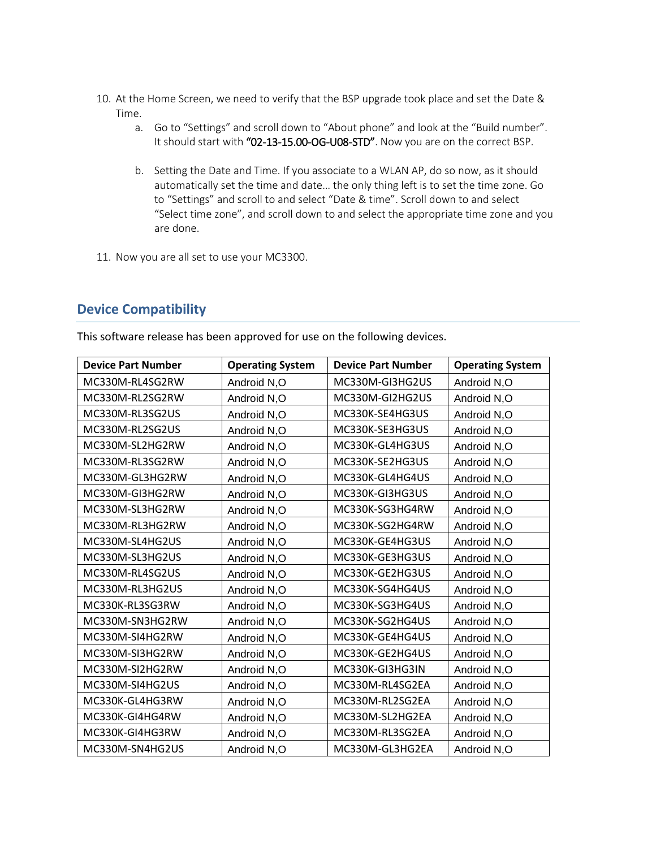- 10. At the Home Screen, we need to verify that the BSP upgrade took place and set the Date & Time.
	- a. Go to "Settings" and scroll down to "About phone" and look at the "Build number". It should start with "02-13-15.00-OG-U08-STD". Now you are on the correct BSP.
	- b. Setting the Date and Time. If you associate to a WLAN AP, do so now, as it should automatically set the time and date… the only thing left is to set the time zone. Go to "Settings" and scroll to and select "Date & time". Scroll down to and select "Select time zone", and scroll down to and select the appropriate time zone and you are done.
- 11. Now you are all set to use your MC3300.

# <span id="page-6-0"></span>**Device Compatibility**

This software release has been approved for use on the following devices.

| <b>Device Part Number</b> | <b>Operating System</b> | <b>Device Part Number</b> | <b>Operating System</b> |
|---------------------------|-------------------------|---------------------------|-------------------------|
| MC330M-RL4SG2RW           | Android N,O             | MC330M-GI3HG2US           | Android N,O             |
| MC330M-RL2SG2RW           | Android N,O             | MC330M-GI2HG2US           | Android N,O             |
| MC330M-RL3SG2US           | Android N,O             | MC330K-SE4HG3US           | Android N,O             |
| MC330M-RL2SG2US           | Android N,O             | MC330K-SE3HG3US           | Android N,O             |
| MC330M-SL2HG2RW           | Android N,O             | MC330K-GL4HG3US           | Android N,O             |
| MC330M-RL3SG2RW           | Android N,O             | MC330K-SE2HG3US           | Android N,O             |
| MC330M-GL3HG2RW           | Android N,O             | MC330K-GL4HG4US           | Android N,O             |
| MC330M-GI3HG2RW           | Android N,O             | MC330K-GI3HG3US           | Android N,O             |
| MC330M-SL3HG2RW           | Android N,O             | MC330K-SG3HG4RW           | Android N,O             |
| MC330M-RL3HG2RW           | Android N,O             | MC330K-SG2HG4RW           | Android N,O             |
| MC330M-SL4HG2US           | Android N,O             | MC330K-GE4HG3US           | Android N,O             |
| MC330M-SL3HG2US           | Android N,O             | MC330K-GE3HG3US           | Android N,O             |
| MC330M-RL4SG2US           | Android N,O             | MC330K-GE2HG3US           | Android N,O             |
| MC330M-RL3HG2US           | Android N,O             | MC330K-SG4HG4US           | Android N,O             |
| MC330K-RL3SG3RW           | Android N,O             | MC330K-SG3HG4US           | Android N,O             |
| MC330M-SN3HG2RW           | Android N,O             | MC330K-SG2HG4US           | Android N,O             |
| MC330M-SI4HG2RW           | Android N,O             | MC330K-GE4HG4US           | Android N,O             |
| MC330M-SI3HG2RW           | Android N,O             | MC330K-GE2HG4US           | Android N,O             |
| MC330M-SI2HG2RW           | Android N,O             | MC330K-GI3HG3IN           | Android N,O             |
| MC330M-SI4HG2US           | Android N,O             | MC330M-RL4SG2EA           | Android N,O             |
| MC330K-GL4HG3RW           | Android N,O             | MC330M-RL2SG2EA           | Android N,O             |
| MC330K-GI4HG4RW           | Android N,O             | MC330M-SL2HG2EA           | Android N,O             |
| MC330K-GI4HG3RW           | Android N,O             | MC330M-RL3SG2EA           | Android N,O             |
| MC330M-SN4HG2US           | Android N,O             | MC330M-GL3HG2EA           | Android N.O             |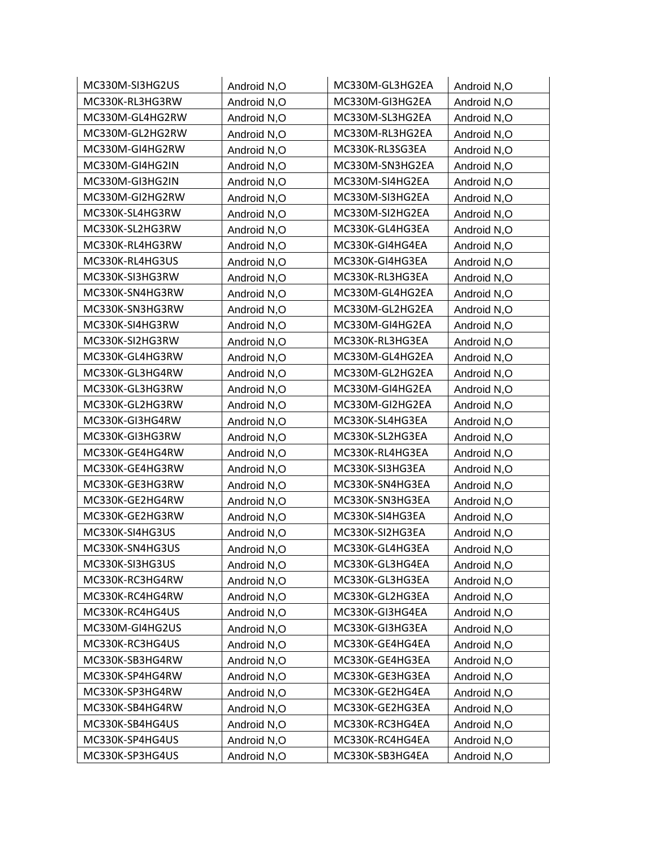| MC330M-SI3HG2US | Android N,O | MC330M-GL3HG2EA | Android N,O |
|-----------------|-------------|-----------------|-------------|
| MC330K-RL3HG3RW | Android N,O | MC330M-GI3HG2EA | Android N,O |
| MC330M-GL4HG2RW | Android N,O | MC330M-SL3HG2EA | Android N,O |
| MC330M-GL2HG2RW | Android N,O | MC330M-RL3HG2EA | Android N,O |
| MC330M-GI4HG2RW | Android N,O | MC330K-RL3SG3EA | Android N,O |
| MC330M-GI4HG2IN | Android N,O | MC330M-SN3HG2EA | Android N,O |
| MC330M-GI3HG2IN | Android N,O | MC330M-SI4HG2EA | Android N,O |
| MC330M-GI2HG2RW | Android N,O | MC330M-SI3HG2EA | Android N,O |
| MC330K-SL4HG3RW | Android N,O | MC330M-SI2HG2EA | Android N,O |
| MC330K-SL2HG3RW | Android N,O | MC330K-GL4HG3EA | Android N,O |
| MC330K-RL4HG3RW | Android N,O | MC330K-GI4HG4EA | Android N,O |
| MC330K-RL4HG3US | Android N,O | MC330K-GI4HG3EA | Android N,O |
| MC330K-SI3HG3RW | Android N,O | MC330K-RL3HG3EA | Android N,O |
| MC330K-SN4HG3RW | Android N,O | MC330M-GL4HG2EA | Android N,O |
| MC330K-SN3HG3RW | Android N,O | MC330M-GL2HG2EA | Android N,O |
| MC330K-SI4HG3RW | Android N,O | MC330M-GI4HG2EA | Android N,O |
| MC330K-SI2HG3RW | Android N,O | MC330K-RL3HG3EA | Android N,O |
| MC330K-GL4HG3RW | Android N,O | MC330M-GL4HG2EA | Android N,O |
| MC330K-GL3HG4RW | Android N,O | MC330M-GL2HG2EA | Android N,O |
| MC330K-GL3HG3RW | Android N,O | MC330M-GI4HG2EA | Android N,O |
| MC330K-GL2HG3RW | Android N,O | MC330M-GI2HG2EA | Android N,O |
| MC330K-GI3HG4RW | Android N,O | MC330K-SL4HG3EA | Android N,O |
| MC330K-GI3HG3RW | Android N,O | MC330K-SL2HG3EA | Android N,O |
| MC330K-GE4HG4RW | Android N,O | MC330K-RL4HG3EA | Android N,O |
| MC330K-GE4HG3RW | Android N,O | MC330K-SI3HG3EA | Android N,O |
| MC330K-GE3HG3RW | Android N,O | MC330K-SN4HG3EA | Android N,O |
| MC330K-GE2HG4RW | Android N,O | MC330K-SN3HG3EA | Android N,O |
| MC330K-GE2HG3RW | Android N,O | MC330K-SI4HG3EA | Android N,O |
| MC330K-SI4HG3US | Android N,O | MC330K-SI2HG3EA | Android N,O |
| MC330K-SN4HG3US | Android N,O | MC330K-GL4HG3EA | Android N,O |
| MC330K-SI3HG3US | Android N,O | MC330K-GL3HG4EA | Android N,O |
| MC330K-RC3HG4RW | Android N,O | MC330K-GL3HG3EA | Android N,O |
| MC330K-RC4HG4RW | Android N,O | MC330K-GL2HG3EA | Android N,O |
| MC330K-RC4HG4US | Android N,O | MC330K-GI3HG4EA | Android N,O |
| MC330M-GI4HG2US | Android N,O | MC330K-GI3HG3EA | Android N,O |
| MC330K-RC3HG4US | Android N,O | MC330K-GE4HG4EA | Android N,O |
| MC330K-SB3HG4RW | Android N,O | MC330K-GE4HG3EA | Android N,O |
| MC330K-SP4HG4RW | Android N,O | MC330K-GE3HG3EA | Android N,O |
| MC330K-SP3HG4RW | Android N,O | MC330K-GE2HG4EA | Android N,O |
| MC330K-SB4HG4RW | Android N,O | MC330K-GE2HG3EA | Android N,O |
| MC330K-SB4HG4US | Android N,O | MC330K-RC3HG4EA | Android N,O |
| MC330K-SP4HG4US | Android N,O | MC330K-RC4HG4EA | Android N,O |
| MC330K-SP3HG4US | Android N,O | MC330K-SB3HG4EA | Android N,O |